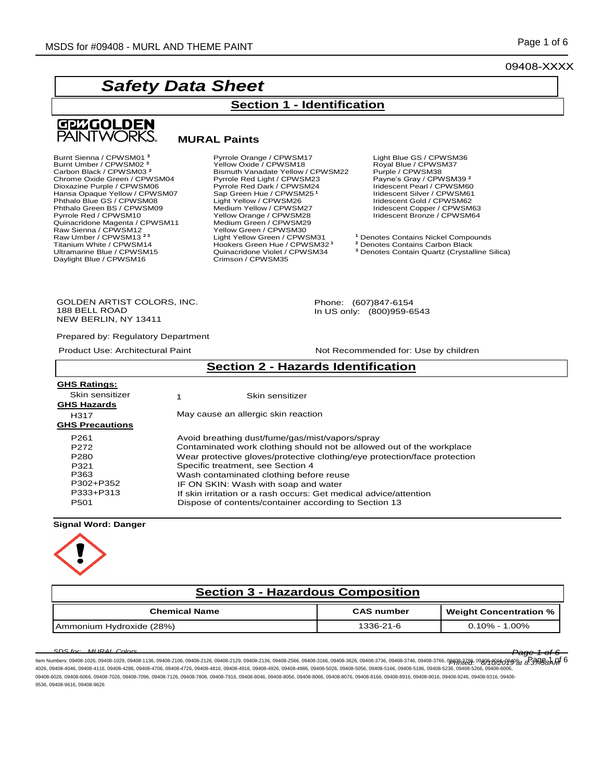09408-XXXX

# *Safety Data Sheet*



#### **MURAL Paints**

Burnt Sienna / CPWSM01 **<sup>3</sup>** Pyrrole Orange / CPWSM17 Light Blue GS / CPWSM36 Burnt Umber / CPWSM02 **<sup>3</sup>** Yellow Oxide / CPWSM18 Royal Blue / CPWSM37 Chrome Oxide Green / CPWSM04<br>Dioxazine Purple / CPWSM06 Quinacridone Magenta / CPWSM11 Medium Green / CPWSM29 Raw Sienna / CPWSM12 Yellow Green / CPWSM30 Titanium White / CPWSM14 **hookers Green Hue / CPWSM32 1**<br>Ultramarine Blue / CPWSM15 **1989 Relative Contains Carbon Black** Daylight Blue / CPWSM16

Carbon Black / CPWSM03<sup>2</sup> **2020** Bismuth Vanadate Yellow / CPWSM22 Purple / CPWSM38<br>Chrome Oxide Green / CPWSM04 Pyrrole Red Light / CPWSM23 Payne's Gray / CPWSM39<sup>2</sup> Pyrrole Red Dark / CPWSM24<br>Sap Green Hue / CPWSM25<sup>1</sup> Hansa Opaque Yellow / CPWSM07 Sap Green Hue / CPWSM25<sup>1</sup> Iridescent Silver / CPWSM6<sup>2</sup><br>Phthalo Blue GS / CPWSM08 Light Yellow / CPWSM26 Iridescent Gold / CPWSM62 Phthalo Blue GS / CPWSM08 Fight Yellow / CPWSM26 Fight Medium Yellow / CPWSM26 Fight Vellow / CPWSM27 Iridescent Gold / CPWSM62<br>Phthalo Green BS / CPWSM09 Medium Yellow / CPWSM27 Iridescent Copper / CPWSM63<br>Pyrrole Red / C Pellow Orange / CPWSM28 Iridescent Bronze / CPWSM64<br>
Medium Green / CPWSM29<br>
Yellow Green / CPWSM30 Raw Umber / CPWSM13<sup>23</sup><br> **Raw Umber / CPWSM13<sup>23</sup><br>
Titanium White / CPWSM14** Hookers Green Hue / CPWSM32<sup>1</sup> <sup>2</sup> Denotes Contains Carbon Black Quinacridone Violet / CPWSM34 <sup>3</sup> Denotes Contain Quartz (Crystalline Silica)<br>Crimson / CPWSM35

**Section 1 - Identification**

Iridescent Pearl / CPWSM60<br>Iridescent Silver / CPWSM61<br>Iridescent Gold / CPWSM62

GOLDEN ARTIST COLORS, INC. 188 BELL ROAD NEW BERLIN, NY 13411

Prepared by: Regulatory Department

Product Use: Architectural Paint Not Recommended for: Use by children

Phone: (607)847-6154 In US only: (800)959-6543

| <b>Section 2 - Hazards Identification</b> |                                     |                                                                           |  |
|-------------------------------------------|-------------------------------------|---------------------------------------------------------------------------|--|
| <b>GHS Ratings:</b>                       |                                     |                                                                           |  |
| Skin sensitizer                           |                                     | Skin sensitizer                                                           |  |
| <b>GHS Hazards</b>                        |                                     |                                                                           |  |
| H317                                      | May cause an allergic skin reaction |                                                                           |  |
| <b>GHS Precautions</b>                    |                                     |                                                                           |  |
| P <sub>261</sub>                          |                                     | Avoid breathing dust/fume/gas/mist/vapors/spray                           |  |
| P <sub>272</sub>                          |                                     | Contaminated work clothing should not be allowed out of the workplace     |  |
| P <sub>280</sub>                          |                                     | Wear protective gloves/protective clothing/eye protection/face protection |  |
| P321                                      |                                     | Specific treatment, see Section 4                                         |  |
| P363                                      |                                     | Wash contaminated clothing before reuse                                   |  |
| P302+P352                                 |                                     | IF ON SKIN: Wash with soap and water                                      |  |
| P333+P313                                 |                                     | If skin irritation or a rash occurs: Get medical advice/attention         |  |
| P <sub>501</sub>                          |                                     | Dispose of contents/container according to Section 13                     |  |

#### **Signal Word: Danger**



| <b>Section 3 - Hazardous Composition</b> |                   |                               |  |
|------------------------------------------|-------------------|-------------------------------|--|
| <b>Chemical Name</b>                     | <b>CAS number</b> | <b>Weight Concentration %</b> |  |
| Ammonium Hydroxide (28%)                 | 1336-21-6         | 0.10% - 1.00%                 |  |

*SDS for: MURAL Colors Page 1 of 6* ltem Numbers: 09408-1026, 09408-1029, 09408-1136, 09408-2106, 09408-2126, 09408-2129, 09408-2136, 09408-3566, 09408-3166, 09408-3756, 09408-3746, 09408-3766, 09408-3766, 09408-3766, 09408-3766, 09408-3766, 09408-3766, 0940 4026, 09408-4046, 09408-4116, 09408-4286, 09408-4706, 09408-4726, 09408-4816, 09408-4916, 09408-4926, 09408-4986, 09408-5026, 09408-5056, 09408-5166, 09408-5186, 09408-5236, 09408-5266, 09408-6006, 09408-6026, 09408-6066, 09408-7026, 09408-7096, 09408-7126, 09408-7806, 09408-8046, 09408-8056, 09408-8066, 09408-8076, 09408-8166, 09408-8916, 09408-9016, 09408-9246, 09408-9316, 09408-8076, 09408-8916, 09408-9216, 09408-8 9536, 09408-9616, 09408-9626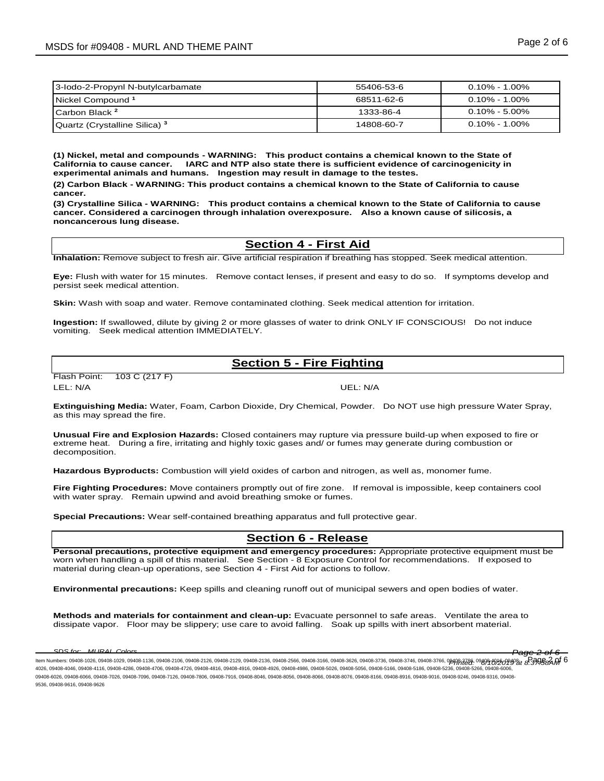| 3-lodo-2-Propynl N-butylcarbamate        | 55406-53-6 | $0.10\%$ - 1.00% |
|------------------------------------------|------------|------------------|
| Nickel Compound <sup>1</sup>             | 68511-62-6 | 0.10% - 1.00%    |
| ICarbon Black <sup>2</sup>               | 1333-86-4  | $0.10\%$ - 5.00% |
| Quartz (Crystalline Silica) <sup>3</sup> | 14808-60-7 | $0.10\%$ - 1.00% |

**(1) Nickel, metal and compounds - WARNING: This product contains a chemical known to the State of California to cause cancer. IARC and NTP also state there is sufficient evidence of carcinogenicity in experimental animals and humans. Ingestion may result in damage to the testes.**

**(2) Carbon Black - WARNING: This product contains a chemical known to the State of California to cause cancer.** 

**(3) Crystalline Silica - WARNING: This product contains a chemical known to the State of California to cause cancer. Considered a carcinogen through inhalation overexposure. Also a known cause of silicosis, a noncancerous lung disease.**

#### **Section 4 - First Aid**

**Inhalation:** Remove subject to fresh air. Give artificial respiration if breathing has stopped. Seek medical attention.

**Eye:** Flush with water for 15 minutes. Remove contact lenses, if present and easy to do so. If symptoms develop and persist seek medical attention.

**Skin:** Wash with soap and water. Remove contaminated clothing. Seek medical attention for irritation.

**Ingestion:** If swallowed, dilute by giving 2 or more glasses of water to drink ONLY IF CONSCIOUS! Do not induce vomiting. Seek medical attention IMMEDIATELY.

# **Section 5 - Fire Fighting**

Flash Point: 103 C (217 F)

LEL: N/A UEL: N/A

**Extinguishing Media:** Water, Foam, Carbon Dioxide, Dry Chemical, Powder. Do NOT use high pressure Water Spray, as this may spread the fire.

**Unusual Fire and Explosion Hazards:** Closed containers may rupture via pressure build-up when exposed to fire or extreme heat. During a fire, irritating and highly toxic gases and/ or fumes may generate during combustion or decomposition.

**Hazardous Byproducts:** Combustion will yield oxides of carbon and nitrogen, as well as, monomer fume.

**Fire Fighting Procedures:** Move containers promptly out of fire zone. If removal is impossible, keep containers cool with water spray. Remain upwind and avoid breathing smoke or fumes.

**Special Precautions:** Wear self-contained breathing apparatus and full protective gear.

#### **Section 6 - Release**

**Personal precautions, protective equipment and emergency procedures:** Appropriate protective equipment must be worn when handling a spill of this material. See Section - 8 Exposure Control for recommendations. If exposed to material during clean-up operations, see Section 4 - First Aid for actions to follow.

**Environmental precautions:** Keep spills and cleaning runoff out of municipal sewers and open bodies of water.

**Methods and materials for containment and clean-up:** Evacuate personnel to safe areas. Ventilate the area to dissipate vapor. Floor may be slippery; use care to avoid falling. Soak up spills with inert absorbent material.

*SDS for: MURAL Colors Page 2 of 6*

ltem Numbers: 09408-1026, 09408-1029, 09408-1136, 09408-2106, 09408-2126, 09408-2129, 09408-2136, 09408-3566, 09408-3166, 09408-3756, 09408-3746, 09408-3746, 09408-3766, 09408-3766, 09408-3766, 09408-3766, 09408-3766, 0940 4026, 09408-4046, 09408-4116, 09408-4286, 09408-4706, 09408-4726, 09408-4816, 09408-4916, 09408-4926, 09408-4986, 09408-5026, 09408-5056, 09408-5166, 09408-5186, 09408-5236, 09408-5266, 09408-6006, 09408-6026, 09408-6066, 09408-7026, 09408-7096, 09408-7126, 09408-7806, 09408-8046, 09408-8056, 09408-8066, 09408-8076, 09408-8916, 09408-8916, 09408-9216, 09408-9246, 09408-9316, 09408-8076, 09408-9246, 09408-9316, 09408-9 9536, 09408-9616, 09408-9626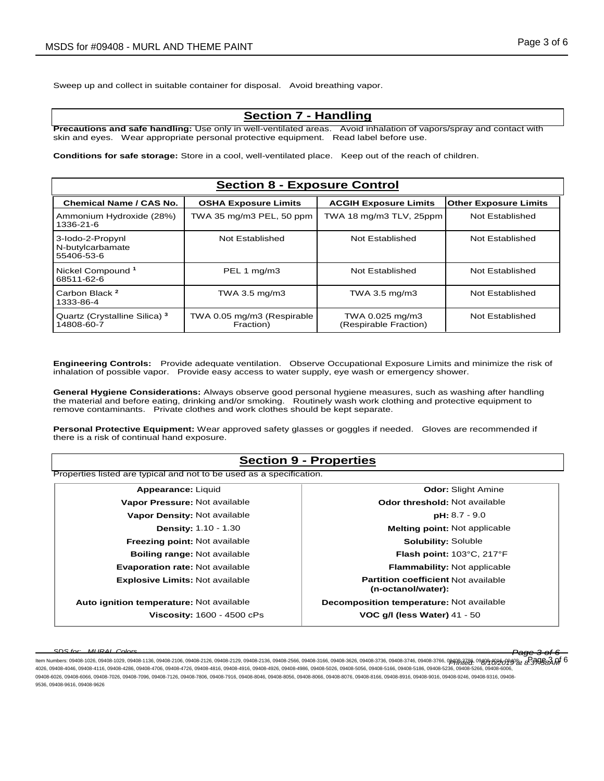Sweep up and collect in suitable container for disposal. Avoid breathing vapor.

#### **Section 7 - Handling**

**Precautions and safe handling:** Use only in well-ventilated areas. Avoid inhalation of vapors/spray and contact with skin and eyes. Wear appropriate personal protective equipment. Read label before use.

**Conditions for safe storage:** Store in a cool, well-ventilated place. Keep out of the reach of children.

# **Section 8 - Exposure Control**

| <b>Chemical Name / CAS No.</b>                         | <b>OSHA Exposure Limits</b>             | <b>ACGIH Exposure Limits</b>             | <b>Other Exposure Limits</b> |
|--------------------------------------------------------|-----------------------------------------|------------------------------------------|------------------------------|
| Ammonium Hydroxide (28%)<br>1336-21-6                  | TWA 35 mg/m3 PEL, 50 ppm                | TWA 18 mg/m3 TLV, 25ppm                  | Not Established              |
| 3-lodo-2-Propynl<br>N-butylcarbamate<br>55406-53-6     | Not Established                         | Not Established                          | Not Established              |
| Nickel Compound <sup>1</sup><br>68511-62-6             | PEL 1 mg/m3                             | Not Established                          | Not Established              |
| Carbon Black <sup>2</sup><br>1333-86-4                 | TWA 3.5 mg/m3                           | TWA 3.5 mg/m3                            | Not Established              |
| Quartz (Crystalline Silica) <sup>3</sup><br>14808-60-7 | TWA 0.05 mg/m3 (Respirable<br>Fraction) | TWA 0.025 mg/m3<br>(Respirable Fraction) | Not Established              |

**Engineering Controls:** Provide adequate ventilation. Observe Occupational Exposure Limits and minimize the risk of inhalation of possible vapor. Provide easy access to water supply, eye wash or emergency shower.

**General Hygiene Considerations:** Always observe good personal hygiene measures, such as washing after handling the material and before eating, drinking and/or smoking. Routinely wash work clothing and protective equipment to remove contaminants. Private clothes and work clothes should be kept separate.

**Personal Protective Equipment:** Wear approved safety glasses or goggles if needed. Gloves are recommended if there is a risk of continual hand exposure.

# **Section 9 - Properties** Properties listed are typical and not to be used as a specification. **Appearance:** Liquid **Odor:** Slight Amine **Vapor Pressure:** Not available *Odor threshold:* **Not available <b>Odor threshold:** Not available **Vapor Density:** Not available **pH:** 8.7 - 9.0 **Density:** 1.10 - 1.30 **Melting point:** Not applicable **Freezing point:** Not available **Solubility:** Soluble **Solubility:** Soluble **Boiling range:** Not available **Flash point:** 103°C, 217°F **Evaporation rate:** Not available **Flammability:** Not applicable **Explosive Limits:** Not available **Partition coefficient** Not available **(n-octanol/water): Auto ignition temperature:** Not available **Decomposition temperature:** Not available **Viscosity:** 1600 - 4500 cPs **VOC g/l (less Water)** 41 - 50

*SDS for: MURAL Colors Page 3 of 6* ltem Numbers: 09408-1026, 09408-1029, 09408-1136, 09408-2106, 09408-2126, 09408-2129, 09408-2136, 09408-3566, 09408-3166, 09408-3756, 09408-3746, 09408-3766, 09408-3766, 09408-3766, 09408-3766, 09408-3766, 09408-3766, 0940 4026, 09408-4046, 09408-4116, 09408-4286, 09408-4706, 09408-4726, 09408-4816, 09408-4916, 09408-4926, 09408-4986, 09408-5026, 09408-5056, 09408-5166, 09408-5186, 09408-5236, 09408-5266, 09408-6006,

<sup>09408-6026, 09408-6066, 09408-7026, 09408-7096, 09408-7126, 09408-7806, 09408-8046, 09408-8056, 09408-8066, 09408-8076, 09408-8166, 09408-8916, 09408-9016, 09408-9246, 09408-9316, 09408-8076, 09408-8916, 09408-9216, 09408-8</sup> 9536, 09408-9616, 09408-9626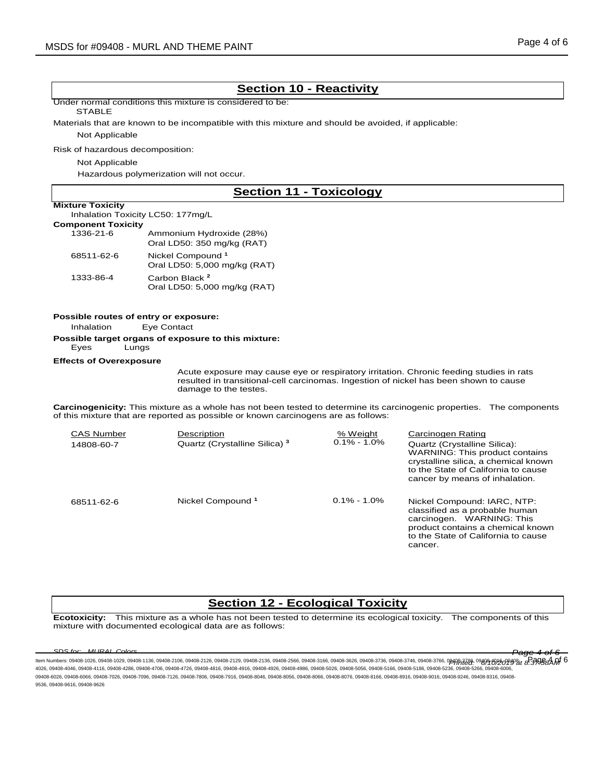## **Section 10 - Reactivity**

Under normal conditions this mixture is considered to be:

#### **STABLE**

Materials that are known to be incompatible with this mixture and should be avoided, if applicable:

Not Applicable

Risk of hazardous decomposition:

#### Not Applicable

Hazardous polymerization will not occur.

## **Section 11 - Toxicology**

**Mixture Toxicity**

| <b>THAIGHT LOAIGHT</b>            |  |
|-----------------------------------|--|
| Inhalation Toxicity LC50: 177mg/L |  |
|                                   |  |

| <b>Component Toxicity</b> |  |
|---------------------------|--|
| $1336-21-G$               |  |

| 1336-21-6  | Ammonium Hydroxide (28%)<br>Oral LD50: 350 mg/kg (RAT)       |
|------------|--------------------------------------------------------------|
| 68511-62-6 | Nickel Compound <sup>1</sup><br>Oral LD50: 5,000 mg/kg (RAT) |
| 1333-86-4  | Carbon Black <sup>2</sup><br>Oral LD50: 5,000 mg/kg (RAT)    |

#### **Possible routes of entry or exposure:**

Inhalation Eye Contact

**Possible target organs of exposure to this mixture:**

Eyes Lungs

#### **Effects of Overexposure**

Acute exposure may cause eye or respiratory irritation. Chronic feeding studies in rats resulted in transitional-cell carcinomas. Ingestion of nickel has been shown to cause damage to the testes.

**Carcinogenicity:** This mixture as a whole has not been tested to determine its carcinogenic properties. The components of this mixture that are reported as possible or known carcinogens are as follows:

| <b>CAS Number</b><br>14808-60-7 | Description<br>Quartz (Crystalline Silica) <sup>3</sup> | % Weight<br>$0.1\% - 1.0\%$ | <b>Carcinogen Rating</b><br>Quartz (Crystalline Silica):<br><b>WARNING: This product contains</b><br>crystalline silica, a chemical known<br>to the State of California to cause<br>cancer by means of inhalation. |
|---------------------------------|---------------------------------------------------------|-----------------------------|--------------------------------------------------------------------------------------------------------------------------------------------------------------------------------------------------------------------|
| 68511-62-6                      | Nickel Compound <sup>1</sup>                            | $0.1\% - 1.0\%$             | Nickel Compound: IARC, NTP:<br>classified as a probable human<br>carcinogen. WARNING: This<br>product contains a chemical known<br>to the State of California to cause<br>cancer.                                  |

## **Section 12 - Ecological Toxicity**

**Ecotoxicity:** This mixture as a whole has not been tested to determine its ecological toxicity. The components of this mixture with documented ecological data are as follows:

*SDS for: MURAL Colors Page 4 of 6* ltem Numbers: 09408-1026, 09408-1029, 09408-1136, 09408-2106, 09408-2126, 09408-2129, 09408-2136, 09408-3566, 09408-3166, 09408-3756, 09408-3746, 09408-3746, 09408-3766, 09408-3766, 09408-3766, 09408-3766, 09408-3766, 0940 4026, 09408-4046, 09408-4116, 09408-4286, 09408-4706, 09408-4726, 09408-4816, 09408-4916, 09408-4926, 09408-4986, 09408-5026, 09408-5056, 09408-5166, 09408-5186, 09408-5236, 09408-5266, 09408-6006, 09408-6026, 09408-6066, 09408-7026, 09408-7096, 09408-7126, 09408-7806, 09408-8046, 09408-8056, 09408-8066, 09408-8076, 09408-8166, 09408-8916, 09408-9016, 09408-9246, 09408-9316, 09408-8076, 09408-8916, 09408-9216, 09408-8 9536, 09408-9616, 09408-9626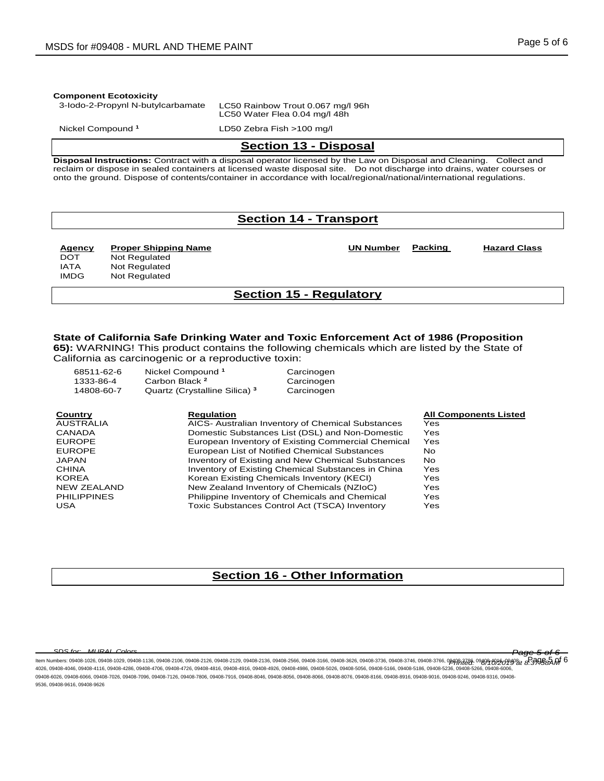#### **Component Ecotoxicity**

3-Iodo-2-Propynl N-butylcarbamate LC50 Rainbow Trout 0.067 mg/l 96h

LC50 Water Flea 0.04 mg/l 48h

Nickel Compound **<sup>1</sup>** LD50 Zebra Fish >100 mg/l

#### **Section 13 - Disposal**

**Disposal Instructions:** Contract with a disposal operator licensed by the Law on Disposal and Cleaning. Collect and reclaim or dispose in sealed containers at licensed waste disposal site. Do not discharge into drains, water courses or onto the ground. Dispose of contents/container in accordance with local/regional/national/international regulations.

## **Section 14 - Transport**

**Agency Proper Shipping Name UN Number Packing Group**

**Hazard Class**

DOT Not Regulated IATA Not Regulated<br>IMDG Not Regulated Not Regulated

#### **Section 15 - Regulatory**

#### **State of California Safe Drinking Water and Toxic Enforcement Act of 1986 (Proposition**

**65):** WARNING! This product contains the following chemicals which are listed by the State of California as carcinogenic or a reproductive toxin:

| 68511-62-6<br>1333-86-4<br>14808-60-7 | Nickel Compound <sup>1</sup><br>Carbon Black <sup>2</sup><br>Quartz (Crystalline Silica) <sup>3</sup> | Carcinogen<br>Carcinogen<br>Carcinogen                   |                              |
|---------------------------------------|-------------------------------------------------------------------------------------------------------|----------------------------------------------------------|------------------------------|
| Country                               | <b>Regulation</b>                                                                                     |                                                          | <b>All Components Listed</b> |
| <b>AUSTRALIA</b>                      |                                                                                                       | AICS- Australian Inventory of Chemical Substances        | Yes                          |
| CANADA                                |                                                                                                       | Domestic Substances List (DSL) and Non-Domestic          | Yes                          |
| <b>EUROPE</b>                         |                                                                                                       | European Inventory of Existing Commercial Chemical       | Yes                          |
| <b>EUROPE</b>                         |                                                                                                       | European List of Notified Chemical Substances            | No.                          |
| <b>JAPAN</b>                          |                                                                                                       | <b>Inventory of Existing and New Chemical Substances</b> | No.                          |
| <b>CHINA</b>                          |                                                                                                       | Inventory of Existing Chemical Substances in China       | Yes                          |
| <b>KOREA</b>                          |                                                                                                       | Korean Existing Chemicals Inventory (KECI)               | Yes                          |
| NEW ZEALAND                           |                                                                                                       | New Zealand Inventory of Chemicals (NZIoC)               | Yes                          |
| <b>PHILIPPINES</b>                    |                                                                                                       | Philippine Inventory of Chemicals and Chemical           | Yes                          |
| <b>USA</b>                            |                                                                                                       | Toxic Substances Control Act (TSCA) Inventory            | Yes                          |

## **Section 16 - Other Information**

*SDS for: MURAL Colors Page 5 of 6*

ltem Numbers: 09408-1026, 09408-1029, 09408-1136, 09408-2106, 09408-2126, 09408-2129, 09408-2136, 09408-3566, 09408-3166, 09408-3756, 09408-3746, 09408-3746, 09408-3746, 09408-3766, 09408-3766, 09408-3766, 09408-3766, 094 4026, 09408-4046, 09408-4116, 09408-4286, 09408-4706, 09408-4726, 09408-4816, 09408-4916, 09408-4926, 09408-4986, 09408-5026, 09408-5056, 09408-5166, 09408-5186, 09408-5236, 09408-5266, 09408-6006, 09408-6026, 09408-6066, 09408-7026, 09408-7096, 09408-7126, 09408-7806, 09408-8046, 09408-8056, 09408-8066, 09408-8076, 09408-8916, 09408-8916, 09408-9216, 09408-9246, 09408-9316, 09408-8076, 09408-9246, 09408-9316, 09408-9 9536, 09408-9616, 09408-9626